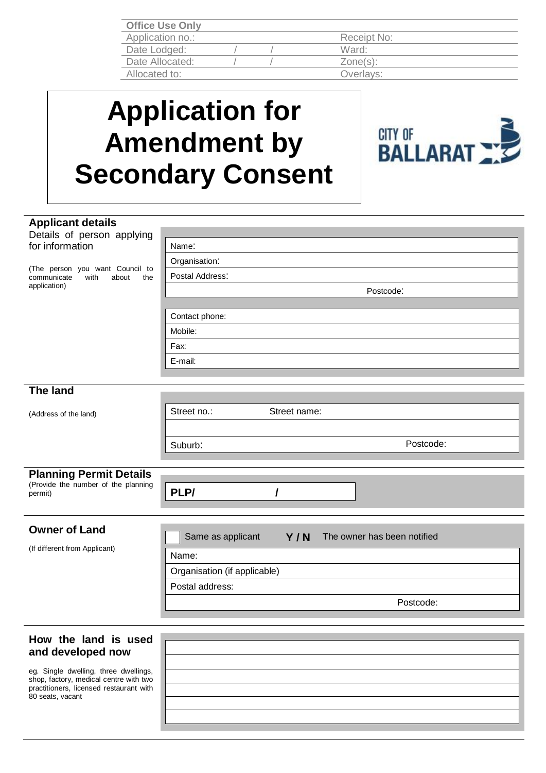| <b>Office Use Only</b> |  |             |  |
|------------------------|--|-------------|--|
| Application no.:       |  | Receipt No: |  |
| Date Lodged:           |  | Ward:       |  |
| Date Allocated:        |  | $Zone(s)$ : |  |
| Allocated to:          |  | Overlays:   |  |
|                        |  |             |  |

## **Application for Amendment by Secondary Consent**



| <b>Applicant details</b>                                                                                                   |                                                         |  |  |  |  |
|----------------------------------------------------------------------------------------------------------------------------|---------------------------------------------------------|--|--|--|--|
| Details of person applying                                                                                                 |                                                         |  |  |  |  |
| for information                                                                                                            | Name:                                                   |  |  |  |  |
| (The person you want Council to<br>with<br>about<br>communicate<br>the                                                     | Organisation:                                           |  |  |  |  |
|                                                                                                                            | Postal Address:                                         |  |  |  |  |
| application)                                                                                                               | Postcode:                                               |  |  |  |  |
|                                                                                                                            |                                                         |  |  |  |  |
|                                                                                                                            | Contact phone:                                          |  |  |  |  |
|                                                                                                                            | Mobile:                                                 |  |  |  |  |
|                                                                                                                            | Fax:                                                    |  |  |  |  |
|                                                                                                                            | E-mail:                                                 |  |  |  |  |
|                                                                                                                            |                                                         |  |  |  |  |
| <b>The land</b>                                                                                                            |                                                         |  |  |  |  |
|                                                                                                                            |                                                         |  |  |  |  |
| (Address of the land)                                                                                                      | Street no.:<br>Street name:                             |  |  |  |  |
|                                                                                                                            |                                                         |  |  |  |  |
|                                                                                                                            | Postcode:<br>Suburb:                                    |  |  |  |  |
|                                                                                                                            |                                                         |  |  |  |  |
| <b>Planning Permit Details</b>                                                                                             |                                                         |  |  |  |  |
| (Provide the number of the planning<br>permit)                                                                             | PLP/                                                    |  |  |  |  |
|                                                                                                                            |                                                         |  |  |  |  |
|                                                                                                                            |                                                         |  |  |  |  |
|                                                                                                                            |                                                         |  |  |  |  |
| <b>Owner of Land</b>                                                                                                       |                                                         |  |  |  |  |
| (If different from Applicant)                                                                                              | The owner has been notified<br>Same as applicant<br>Y/N |  |  |  |  |
|                                                                                                                            | Name:                                                   |  |  |  |  |
|                                                                                                                            | Organisation (if applicable)                            |  |  |  |  |
|                                                                                                                            | Postal address:                                         |  |  |  |  |
|                                                                                                                            | Postcode:                                               |  |  |  |  |
|                                                                                                                            |                                                         |  |  |  |  |
|                                                                                                                            |                                                         |  |  |  |  |
| How the land is used                                                                                                       |                                                         |  |  |  |  |
| and developed now                                                                                                          |                                                         |  |  |  |  |
| eg. Single dwelling, three dwellings,<br>shop, factory, medical centre with two<br>practitioners, licensed restaurant with |                                                         |  |  |  |  |